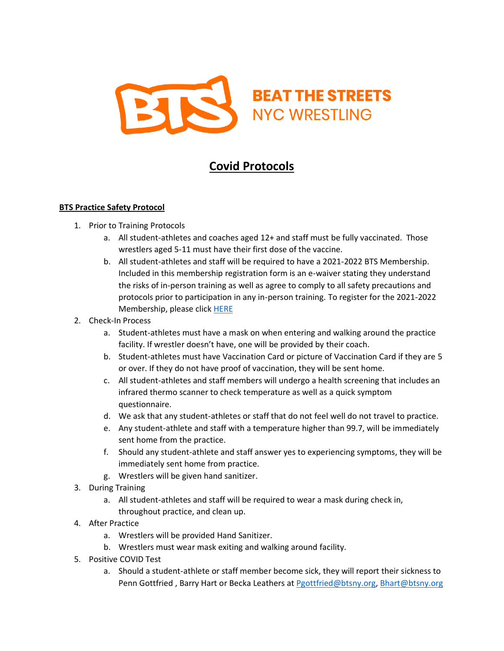

## **Covid Protocols**

## **BTS Practice Safety Protocol**

- 1. Prior to Training Protocols
	- a. All student-athletes and coaches aged 12+ and staff must be fully vaccinated. Those wrestlers aged 5-11 must have their first dose of the vaccine.
	- b. All student-athletes and staff will be required to have a 2021-2022 BTS Membership. Included in this membership registration form is an e-waiver stating they understand the risks of in-person training as well as agree to comply to all safety precautions and protocols prior to participation in any in-person training. To register for the 2021-2022 Membership, please clic[k HERE](https://www.usawmembership.com/clubs/1452901/registration)
- 2. Check-In Process
	- a. Student-athletes must have a mask on when entering and walking around the practice facility. If wrestler doesn't have, one will be provided by their coach.
	- b. Student-athletes must have Vaccination Card or picture of Vaccination Card if they are 5 or over. If they do not have proof of vaccination, they will be sent home.
	- c. All student-athletes and staff members will undergo a health screening that includes an infrared thermo scanner to check temperature as well as a quick symptom questionnaire.
	- d. We ask that any student-athletes or staff that do not feel well do not travel to practice.
	- e. Any student-athlete and staff with a temperature higher than 99.7, will be immediately sent home from the practice.
	- f. Should any student-athlete and staff answer yes to experiencing symptoms, they will be immediately sent home from practice.
	- g. Wrestlers will be given hand sanitizer.
- 3. During Training
	- a. All student-athletes and staff will be required to wear a mask during check in, throughout practice, and clean up.
- 4. After Practice
	- a. Wrestlers will be provided Hand Sanitizer.
	- b. Wrestlers must wear mask exiting and walking around facility.
- 5. Positive COVID Test
	- a. Should a student-athlete or staff member become sick, they will report their sickness to Penn Gottfried, Barry Hart or Becka Leathers at [Pgottfried@btsny.org,](mailto:Pgottfried@btsny.org) [Bhart@btsny.org](mailto:Bhart@btsny.org)